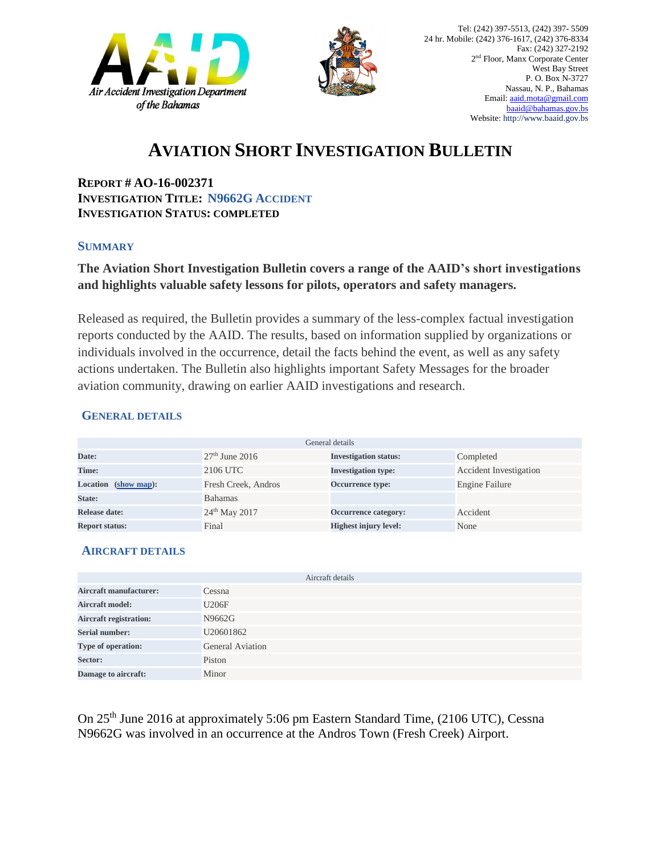



## **AVIATION SHORT INVESTIGATION BULLETIN**

**REPORT # AO-16-002371 INVESTIGATION TITLE: N9662G ACCIDENT INVESTIGATION STATUS: COMPLETED**

#### **SUMMARY**

### **The Aviation Short Investigation Bulletin covers a range of the AAID's short investigations and highlights valuable safety lessons for pilots, operators and safety managers.**

Released as required, the Bulletin provides a summary of the less-complex factual investigation reports conducted by the AAID. The results, based on information supplied by organizations or individuals involved in the occurrence, detail the facts behind the event, as well as any safety actions undertaken. The Bulletin also highlights important Safety Messages for the broader aviation community, drawing on earlier AAID investigations and research.

#### **GENERAL DETAILS**

| General details       |                           |                              |                               |
|-----------------------|---------------------------|------------------------------|-------------------------------|
| Date:                 | $27th$ June 2016          | <b>Investigation status:</b> | Completed                     |
| Time:                 | 2106 UTC                  | <b>Investigation type:</b>   | <b>Accident Investigation</b> |
| Location (show map):  | Fresh Creek, Andros       | Occurrence type:             | Engine Failure                |
| State:                | <b>Bahamas</b>            |                              |                               |
| Release date:         | 24 <sup>th</sup> May 2017 | Occurrence category:         | Accident                      |
| <b>Report status:</b> | Final                     | <b>Highest injury level:</b> | None                          |

#### **AIRCRAFT DETAILS**

|                               | Aircraft details        |
|-------------------------------|-------------------------|
| <b>Aircraft manufacturer:</b> | Cessna                  |
| <b>Aircraft model:</b>        | U206F                   |
| <b>Aircraft registration:</b> | N9662G                  |
| <b>Serial number:</b>         | U20601862               |
| Type of operation:            | <b>General Aviation</b> |
| Sector:                       | Piston                  |
| Damage to aircraft:           | Minor                   |

On 25th June 2016 at approximately 5:06 pm Eastern Standard Time, (2106 UTC), Cessna N9662G was involved in an occurrence at the Andros Town (Fresh Creek) Airport.